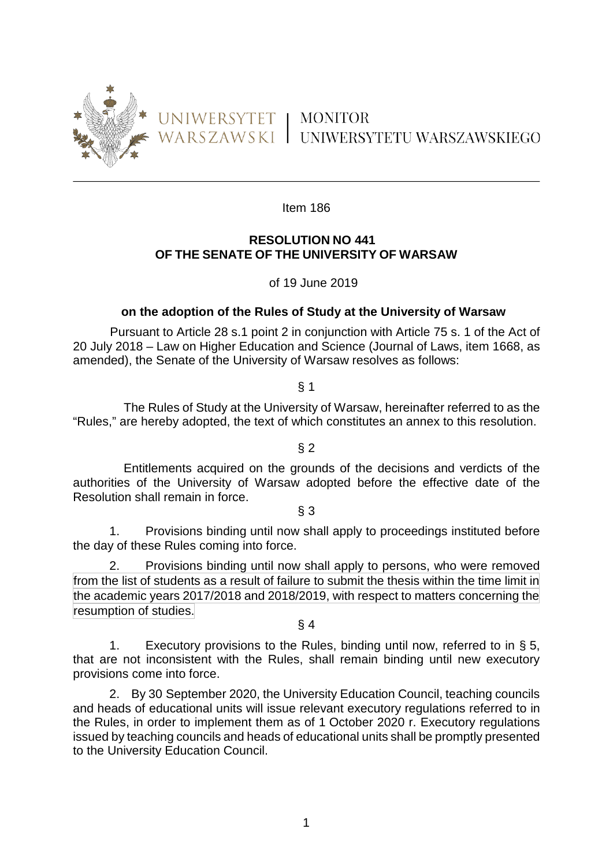

Item 186

# **RESOLUTION NO 441 OF THE SENATE OF THE UNIVERSITY OF WARSAW**

of 19 June 2019

## **on the adoption of the Rules of Study at the University of Warsaw**

Pursuant to Article 28 s.1 point 2 in conjunction with Article 75 s. 1 of the Act of 20 July 2018 – Law on Higher Education and Science (Journal of Laws, item 1668, as amended), the Senate of the University of Warsaw resolves as follows:

§ 1

 The Rules of Study at the University of Warsaw, hereinafter referred to as the "Rules," are hereby adopted, the text of which constitutes an annex to this resolution.

 $§$  2

 Entitlements acquired on the grounds of the decisions and verdicts of the authorities of the University of Warsaw adopted before the effective date of the Resolution shall remain in force.

§ 3

1. Provisions binding until now shall apply to proceedings instituted before the day of these Rules coming into force.

2. Provisions binding until now shall apply to persons, who were removed from the list of students as a result of failure to submit the thesis within the time limit in the academic years 2017/2018 and 2018/2019, with respect to matters concerning the resumption of studies.

§ 4

1. Executory provisions to the Rules, binding until now, referred to in § 5, that are not inconsistent with the Rules, shall remain binding until new executory provisions come into force.

2. By 30 September 2020, the University Education Council, teaching councils and heads of educational units will issue relevant executory regulations referred to in the Rules, in order to implement them as of 1 October 2020 r. Executory regulations issued by teaching councils and heads of educational units shall be promptly presented to the University Education Council.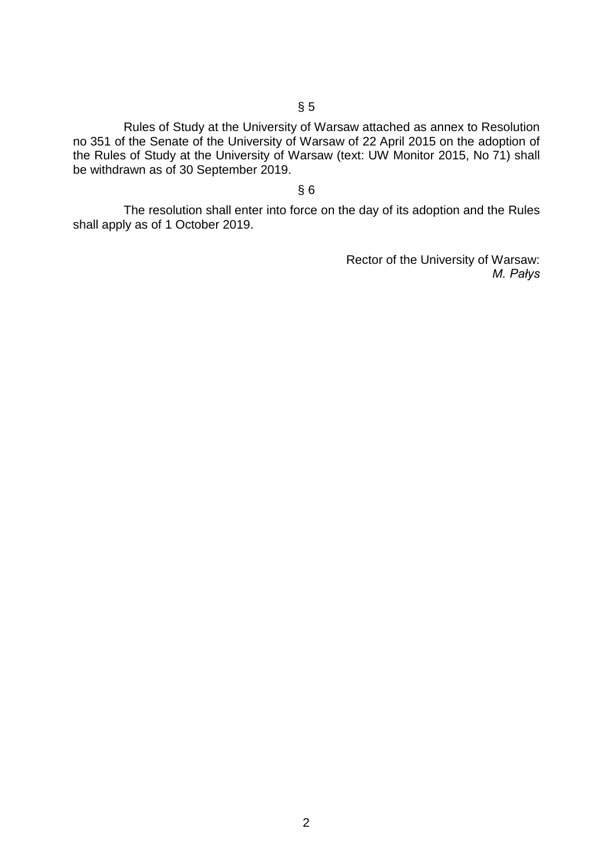Rules of Study at the University of Warsaw attached as annex to Resolution no 351 of the Senate of the University of Warsaw of 22 April 2015 on the adoption of the Rules of Study at the University of Warsaw (text: UW Monitor 2015, No 71) shall be withdrawn as of 30 September 2019.

## § 6

 The resolution shall enter into force on the day of its adoption and the Rules shall apply as of 1 October 2019.

> Rector of the University of Warsaw: *M. Pałys*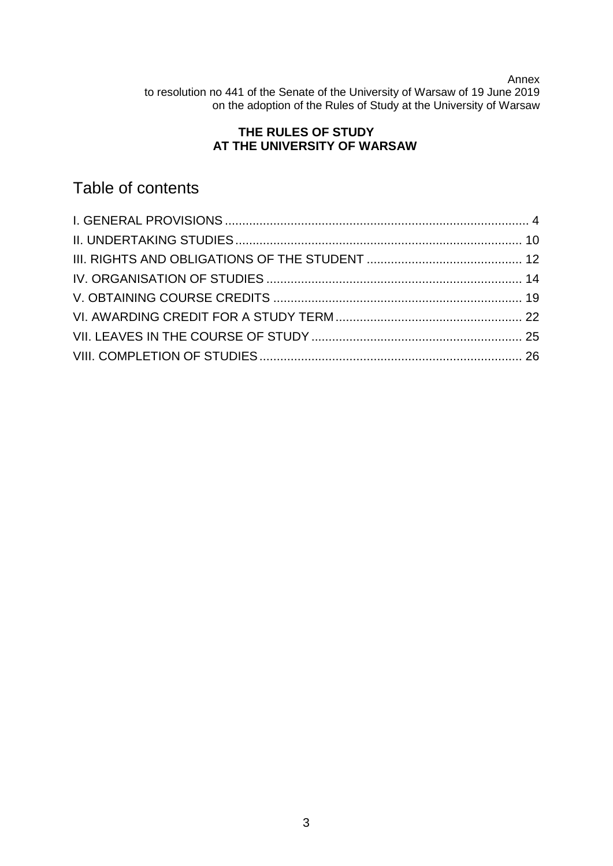Annex

to resolution no 441 of the Senate of the University of Warsaw of 19 June 2019 on the adoption of the Rules of Study at the University of Warsaw

# **THE RULES OF STUDY AT THE UNIVERSITY OF WARSAW**

# Table of contents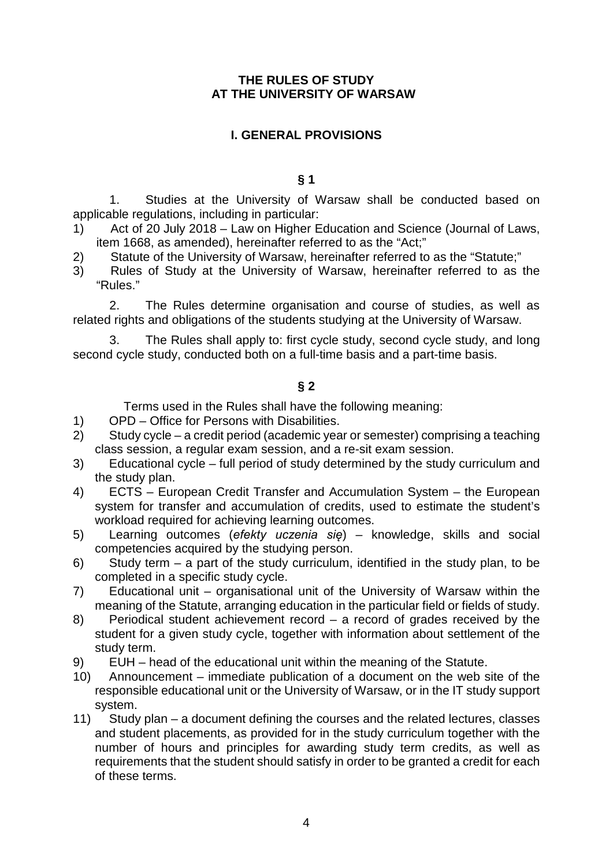## **THE RULES OF STUDY AT THE UNIVERSITY OF WARSAW**

## <span id="page-3-0"></span>**I. GENERAL PROVISIONS**

#### **§ 1**

1. Studies at the University of Warsaw shall be conducted based on applicable regulations, including in particular:

- 1) Act of 20 July 2018 Law on Higher Education and Science (Journal of Laws, item 1668, as amended), hereinafter referred to as the "Act;"
- 2) Statute of the University of Warsaw, hereinafter referred to as the "Statute;"
- 3) Rules of Study at the University of Warsaw, hereinafter referred to as the "Rules."

2. The Rules determine organisation and course of studies, as well as related rights and obligations of the students studying at the University of Warsaw.

3. The Rules shall apply to: first cycle study, second cycle study, and long second cycle study, conducted both on a full-time basis and a part-time basis.

## **§ 2**

Terms used in the Rules shall have the following meaning:

- 1) OPD Office for Persons with Disabilities.
- 2) Study cycle a credit period (academic year or semester) comprising a teaching class session, a regular exam session, and a re-sit exam session.
- 3) Educational cycle full period of study determined by the study curriculum and the study plan.
- 4) ECTS European Credit Transfer and Accumulation System the European system for transfer and accumulation of credits, used to estimate the student's workload required for achieving learning outcomes.
- 5) Learning outcomes (*efekty uczenia się*) knowledge, skills and social competencies acquired by the studying person.
- 6) Study term a part of the study curriculum, identified in the study plan, to be completed in a specific study cycle.
- 7) Educational unit organisational unit of the University of Warsaw within the meaning of the Statute, arranging education in the particular field or fields of study.
- 8) Periodical student achievement record a record of grades received by the student for a given study cycle, together with information about settlement of the study term.
- 9) EUH head of the educational unit within the meaning of the Statute.
- 10) Announcement immediate publication of a document on the web site of the responsible educational unit or the University of Warsaw, or in the IT study support system.
- 11) Study plan a document defining the courses and the related lectures, classes and student placements, as provided for in the study curriculum together with the number of hours and principles for awarding study term credits, as well as requirements that the student should satisfy in order to be granted a credit for each of these terms.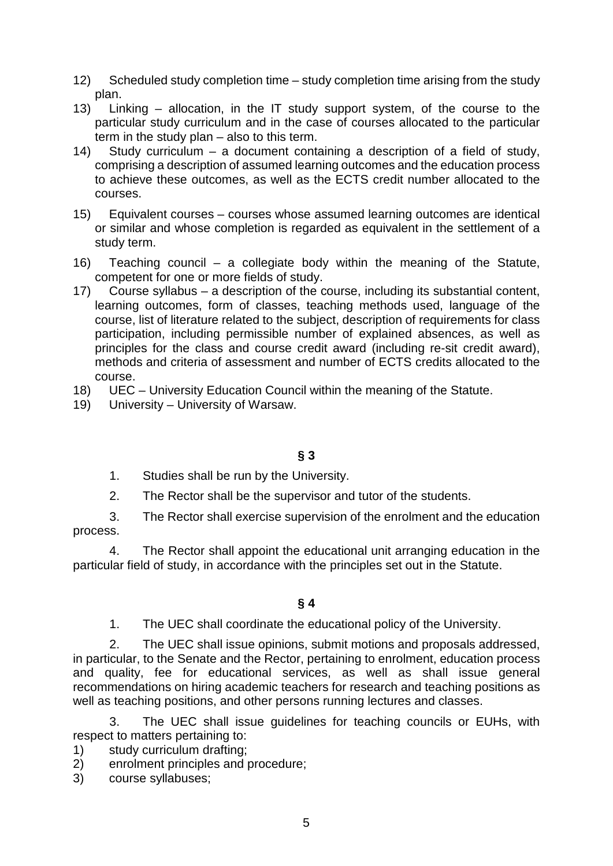- 12) Scheduled study completion time study completion time arising from the study plan.
- 13) Linking allocation, in the IT study support system, of the course to the particular study curriculum and in the case of courses allocated to the particular term in the study plan – also to this term.
- 14) Study curriculum a document containing a description of a field of study, comprising a description of assumed learning outcomes and the education process to achieve these outcomes, as well as the ECTS credit number allocated to the courses.
- 15) Equivalent courses courses whose assumed learning outcomes are identical or similar and whose completion is regarded as equivalent in the settlement of a study term.
- 16) Teaching council a collegiate body within the meaning of the Statute, competent for one or more fields of study.
- 17) Course syllabus a description of the course, including its substantial content, learning outcomes, form of classes, teaching methods used, language of the course, list of literature related to the subject, description of requirements for class participation, including permissible number of explained absences, as well as principles for the class and course credit award (including re-sit credit award), methods and criteria of assessment and number of ECTS credits allocated to the course.
- 18) UEC University Education Council within the meaning of the Statute.
- 19) University University of Warsaw.

# **§ 3**

- 1. Studies shall be run by the University.
- 2. The Rector shall be the supervisor and tutor of the students.

3. The Rector shall exercise supervision of the enrolment and the education process.

4. The Rector shall appoint the educational unit arranging education in the particular field of study, in accordance with the principles set out in the Statute.

**§ 4**

## 1. The UEC shall coordinate the educational policy of the University.

2. The UEC shall issue opinions, submit motions and proposals addressed, in particular, to the Senate and the Rector, pertaining to enrolment, education process and quality, fee for educational services, as well as shall issue general recommendations on hiring academic teachers for research and teaching positions as well as teaching positions, and other persons running lectures and classes.

3. The UEC shall issue guidelines for teaching councils or EUHs, with respect to matters pertaining to:

- 1) study curriculum drafting;
- 2) enrolment principles and procedure;
- 3) course syllabuses;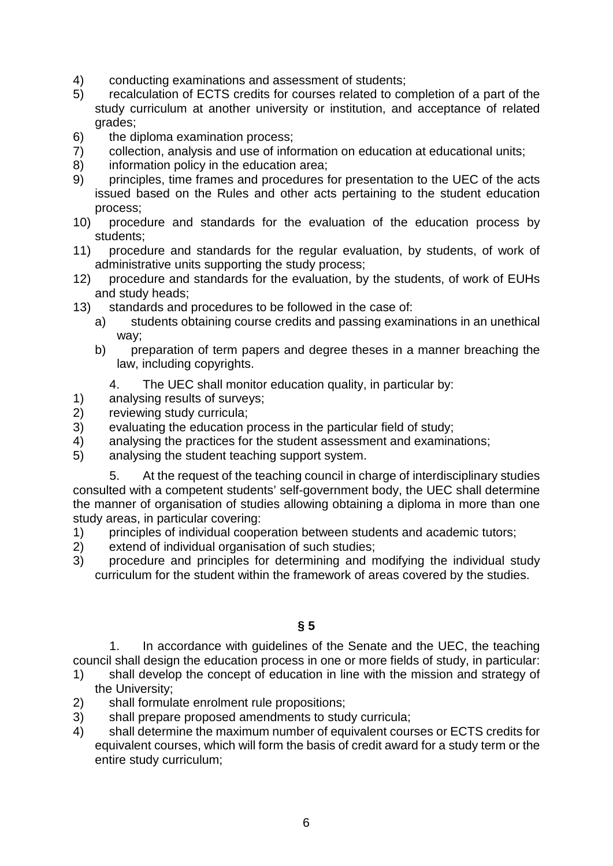- 4) conducting examinations and assessment of students;
- 5) recalculation of ECTS credits for courses related to completion of a part of the study curriculum at another university or institution, and acceptance of related grades;
- 6) the diploma examination process;
- 7) collection, analysis and use of information on education at educational units;
- 8) information policy in the education area;
- 9) principles, time frames and procedures for presentation to the UEC of the acts issued based on the Rules and other acts pertaining to the student education process;
- 10) procedure and standards for the evaluation of the education process by students;
- 11) procedure and standards for the regular evaluation, by students, of work of administrative units supporting the study process;
- 12) procedure and standards for the evaluation, by the students, of work of EUHs and study heads;
- 13) standards and procedures to be followed in the case of:
	- a) students obtaining course credits and passing examinations in an unethical way;
	- b) preparation of term papers and degree theses in a manner breaching the law, including copyrights.
		- 4. The UEC shall monitor education quality, in particular by:
- 1) analysing results of surveys;
- 2) reviewing study curricula;
- 3) evaluating the education process in the particular field of study;
- 4) analysing the practices for the student assessment and examinations;
- 5) analysing the student teaching support system.

5. At the request of the teaching council in charge of interdisciplinary studies consulted with a competent students' self-government body, the UEC shall determine the manner of organisation of studies allowing obtaining a diploma in more than one study areas, in particular covering:

- 1) principles of individual cooperation between students and academic tutors;
- 2) extend of individual organisation of such studies;
- 3) procedure and principles for determining and modifying the individual study curriculum for the student within the framework of areas covered by the studies.
	- **§ 5**

1. In accordance with guidelines of the Senate and the UEC, the teaching council shall design the education process in one or more fields of study, in particular:

- 1) shall develop the concept of education in line with the mission and strategy of the University;
- 2) shall formulate enrolment rule propositions;
- 3) shall prepare proposed amendments to study curricula;
- 4) shall determine the maximum number of equivalent courses or ECTS credits for equivalent courses, which will form the basis of credit award for a study term or the entire study curriculum;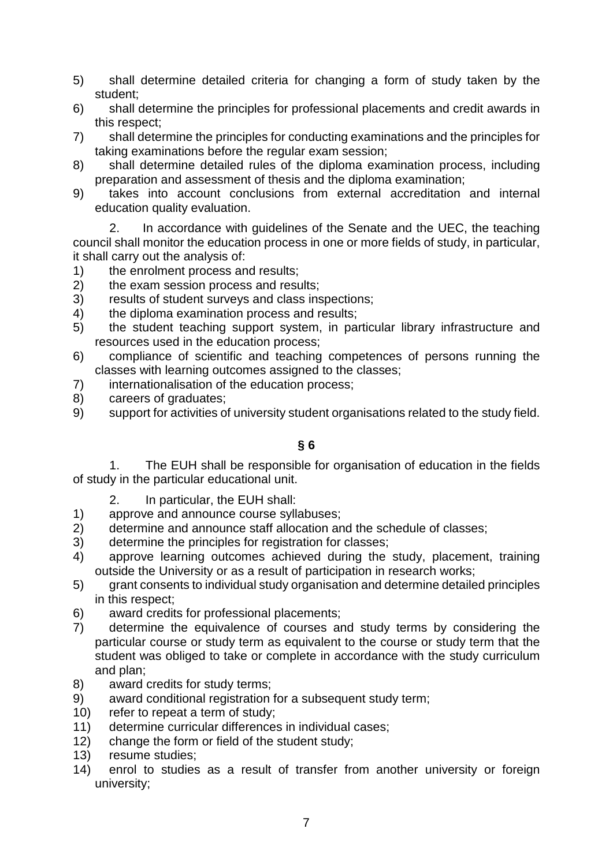- 5) shall determine detailed criteria for changing a form of study taken by the student;
- 6) shall determine the principles for professional placements and credit awards in this respect;
- 7) shall determine the principles for conducting examinations and the principles for taking examinations before the regular exam session;
- 8) shall determine detailed rules of the diploma examination process, including preparation and assessment of thesis and the diploma examination;
- 9) takes into account conclusions from external accreditation and internal education quality evaluation.

2. In accordance with guidelines of the Senate and the UEC, the teaching council shall monitor the education process in one or more fields of study, in particular, it shall carry out the analysis of:

- 1) the enrolment process and results;
- 2) the exam session process and results;
- 3) results of student surveys and class inspections;
- 4) the diploma examination process and results;
- 5) the student teaching support system, in particular library infrastructure and resources used in the education process;
- 6) compliance of scientific and teaching competences of persons running the classes with learning outcomes assigned to the classes;
- 7) internationalisation of the education process;
- 8) careers of graduates;
- 9) support for activities of university student organisations related to the study field.

# **§ 6**

1. The EUH shall be responsible for organisation of education in the fields of study in the particular educational unit.

- 2. In particular, the EUH shall:
- 1) approve and announce course syllabuses;
- 2) determine and announce staff allocation and the schedule of classes;
- 3) determine the principles for registration for classes;
- 4) approve learning outcomes achieved during the study, placement, training outside the University or as a result of participation in research works;
- 5) grant consents to individual study organisation and determine detailed principles in this respect;
- 6) award credits for professional placements;
- 7) determine the equivalence of courses and study terms by considering the particular course or study term as equivalent to the course or study term that the student was obliged to take or complete in accordance with the study curriculum and plan;
- 8) award credits for study terms;
- 9) award conditional registration for a subsequent study term;
- 10) refer to repeat a term of study;
- 11) determine curricular differences in individual cases;
- 12) change the form or field of the student study;
- 13) resume studies;
- 14) enrol to studies as a result of transfer from another university or foreign university;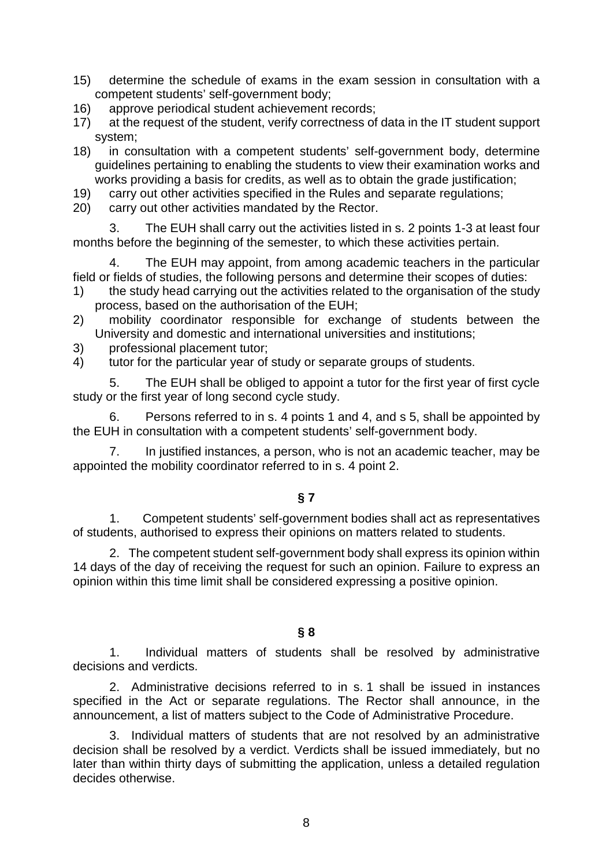- 15) determine the schedule of exams in the exam session in consultation with a competent students' self-government body;
- 16) approve periodical student achievement records;
- 17) at the request of the student, verify correctness of data in the IT student support system;
- 18) in consultation with a competent students' self-government body, determine guidelines pertaining to enabling the students to view their examination works and works providing a basis for credits, as well as to obtain the grade justification;
- 19) carry out other activities specified in the Rules and separate regulations;
- 20) carry out other activities mandated by the Rector.

3. The EUH shall carry out the activities listed in s. 2 points 1-3 at least four months before the beginning of the semester, to which these activities pertain.

4. The EUH may appoint, from among academic teachers in the particular field or fields of studies, the following persons and determine their scopes of duties:

- 1) the study head carrying out the activities related to the organisation of the study process, based on the authorisation of the EUH;
- 2) mobility coordinator responsible for exchange of students between the University and domestic and international universities and institutions;
- 3) professional placement tutor;

4) tutor for the particular year of study or separate groups of students.

5. The EUH shall be obliged to appoint a tutor for the first year of first cycle study or the first year of long second cycle study.

6. Persons referred to in s. 4 points 1 and 4, and s 5, shall be appointed by the EUH in consultation with a competent students' self-government body.

7. In justified instances, a person, who is not an academic teacher, may be appointed the mobility coordinator referred to in s. 4 point 2.

# **§ 7**

1. Competent students' self-government bodies shall act as representatives of students, authorised to express their opinions on matters related to students.

2. The competent student self-government body shall express its opinion within 14 days of the day of receiving the request for such an opinion. Failure to express an opinion within this time limit shall be considered expressing a positive opinion.

## **§ 8**

1. Individual matters of students shall be resolved by administrative decisions and verdicts.

2. Administrative decisions referred to in s. 1 shall be issued in instances specified in the Act or separate regulations. The Rector shall announce, in the announcement, a list of matters subject to the Code of Administrative Procedure.

3. Individual matters of students that are not resolved by an administrative decision shall be resolved by a verdict. Verdicts shall be issued immediately, but no later than within thirty days of submitting the application, unless a detailed regulation decides otherwise.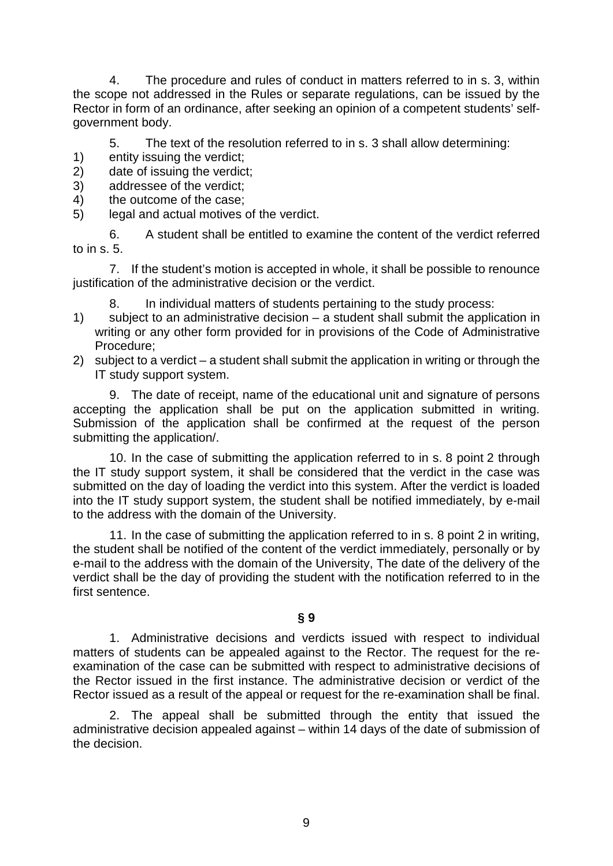4. The procedure and rules of conduct in matters referred to in s. 3, within the scope not addressed in the Rules or separate regulations, can be issued by the Rector in form of an ordinance, after seeking an opinion of a competent students' selfgovernment body.

5. The text of the resolution referred to in s. 3 shall allow determining:

- 1) entity issuing the verdict;
- 2) date of issuing the verdict;
- 3) addressee of the verdict;
- 4) the outcome of the case;
- 5) legal and actual motives of the verdict.

6. A student shall be entitled to examine the content of the verdict referred to in s. 5.

7. If the student's motion is accepted in whole, it shall be possible to renounce justification of the administrative decision or the verdict.

- 8. In individual matters of students pertaining to the study process:
- 1) subject to an administrative decision a student shall submit the application in writing or any other form provided for in provisions of the Code of Administrative Procedure;
- 2) subject to a verdict a student shall submit the application in writing or through the IT study support system.

9. The date of receipt, name of the educational unit and signature of persons accepting the application shall be put on the application submitted in writing. Submission of the application shall be confirmed at the request of the person submitting the application/.

10. In the case of submitting the application referred to in s. 8 point 2 through the IT study support system, it shall be considered that the verdict in the case was submitted on the day of loading the verdict into this system. After the verdict is loaded into the IT study support system, the student shall be notified immediately, by e-mail to the address with the domain of the University.

11. In the case of submitting the application referred to in s. 8 point 2 in writing, the student shall be notified of the content of the verdict immediately, personally or by e-mail to the address with the domain of the University, The date of the delivery of the verdict shall be the day of providing the student with the notification referred to in the first sentence.

# **§ 9**

1. Administrative decisions and verdicts issued with respect to individual matters of students can be appealed against to the Rector. The request for the reexamination of the case can be submitted with respect to administrative decisions of the Rector issued in the first instance. The administrative decision or verdict of the Rector issued as a result of the appeal or request for the re-examination shall be final.

2. The appeal shall be submitted through the entity that issued the administrative decision appealed against – within 14 days of the date of submission of the decision.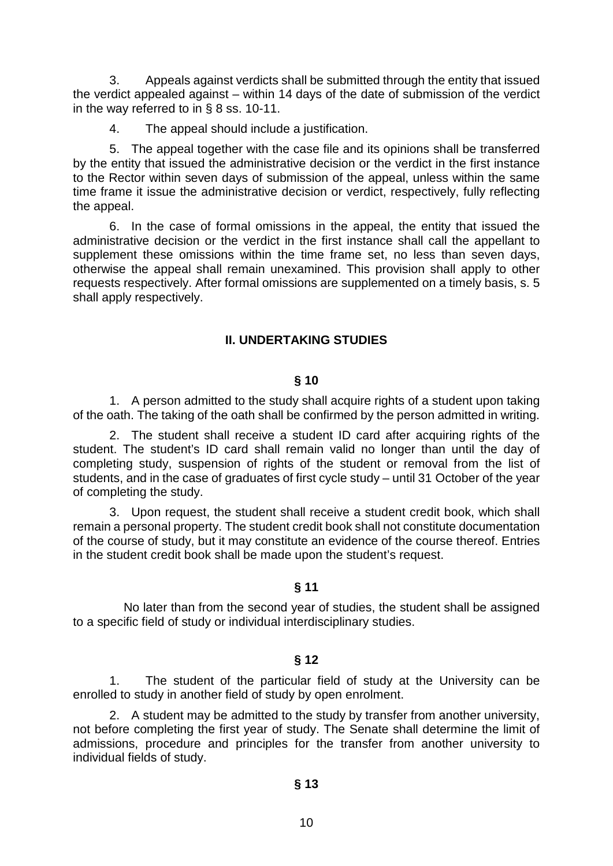3. Appeals against verdicts shall be submitted through the entity that issued the verdict appealed against – within 14 days of the date of submission of the verdict in the way referred to in § 8 ss. 10-11.

4. The appeal should include a justification.

5. The appeal together with the case file and its opinions shall be transferred by the entity that issued the administrative decision or the verdict in the first instance to the Rector within seven days of submission of the appeal, unless within the same time frame it issue the administrative decision or verdict, respectively, fully reflecting the appeal.

6. In the case of formal omissions in the appeal, the entity that issued the administrative decision or the verdict in the first instance shall call the appellant to supplement these omissions within the time frame set, no less than seven days, otherwise the appeal shall remain unexamined. This provision shall apply to other requests respectively. After formal omissions are supplemented on a timely basis, s. 5 shall apply respectively.

## <span id="page-9-0"></span>**II. UNDERTAKING STUDIES**

#### **§ 10**

1. A person admitted to the study shall acquire rights of a student upon taking of the oath. The taking of the oath shall be confirmed by the person admitted in writing.

2. The student shall receive a student ID card after acquiring rights of the student. The student's ID card shall remain valid no longer than until the day of completing study, suspension of rights of the student or removal from the list of students, and in the case of graduates of first cycle study – until 31 October of the year of completing the study.

3. Upon request, the student shall receive a student credit book, which shall remain a personal property. The student credit book shall not constitute documentation of the course of study, but it may constitute an evidence of the course thereof. Entries in the student credit book shall be made upon the student's request.

#### **§ 11**

 No later than from the second year of studies, the student shall be assigned to a specific field of study or individual interdisciplinary studies.

#### **§ 12**

1. The student of the particular field of study at the University can be enrolled to study in another field of study by open enrolment.

2. A student may be admitted to the study by transfer from another university, not before completing the first year of study. The Senate shall determine the limit of admissions, procedure and principles for the transfer from another university to individual fields of study.

#### **§ 13**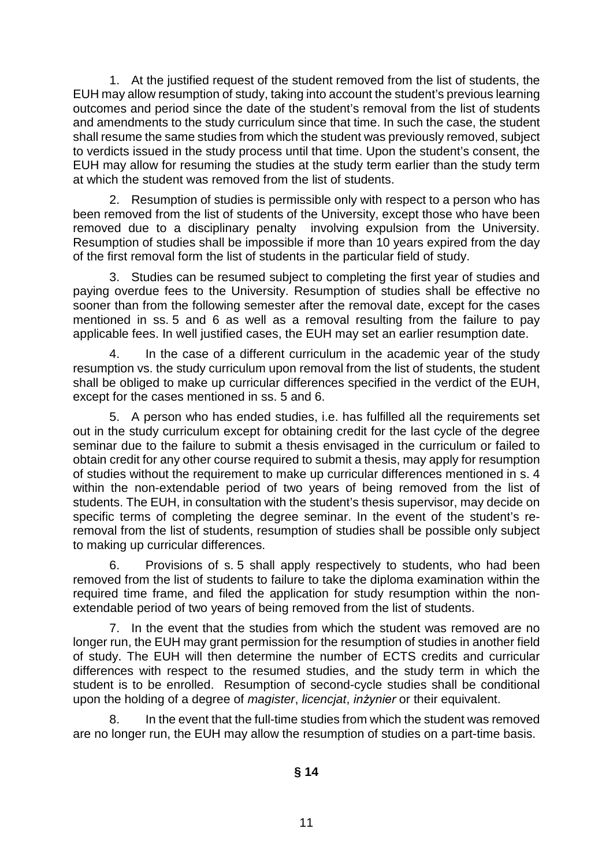1. At the justified request of the student removed from the list of students, the EUH may allow resumption of study, taking into account the student's previous learning outcomes and period since the date of the student's removal from the list of students and amendments to the study curriculum since that time. In such the case, the student shall resume the same studies from which the student was previously removed, subject to verdicts issued in the study process until that time. Upon the student's consent, the EUH may allow for resuming the studies at the study term earlier than the study term at which the student was removed from the list of students.

2. Resumption of studies is permissible only with respect to a person who has been removed from the list of students of the University, except those who have been removed due to a disciplinary penalty involving expulsion from the University. Resumption of studies shall be impossible if more than 10 years expired from the day of the first removal form the list of students in the particular field of study.

3. Studies can be resumed subject to completing the first year of studies and paying overdue fees to the University. Resumption of studies shall be effective no sooner than from the following semester after the removal date, except for the cases mentioned in ss. 5 and 6 as well as a removal resulting from the failure to pay applicable fees. In well justified cases, the EUH may set an earlier resumption date.

4. In the case of a different curriculum in the academic year of the study resumption vs. the study curriculum upon removal from the list of students, the student shall be obliged to make up curricular differences specified in the verdict of the EUH, except for the cases mentioned in ss. 5 and 6.

5. A person who has ended studies, i.e. has fulfilled all the requirements set out in the study curriculum except for obtaining credit for the last cycle of the degree seminar due to the failure to submit a thesis envisaged in the curriculum or failed to obtain credit for any other course required to submit a thesis, may apply for resumption of studies without the requirement to make up curricular differences mentioned in s. 4 within the non-extendable period of two years of being removed from the list of students. The EUH, in consultation with the student's thesis supervisor, may decide on specific terms of completing the degree seminar. In the event of the student's reremoval from the list of students, resumption of studies shall be possible only subject to making up curricular differences.

6. Provisions of s. 5 shall apply respectively to students, who had been removed from the list of students to failure to take the diploma examination within the required time frame, and filed the application for study resumption within the nonextendable period of two years of being removed from the list of students.

7. In the event that the studies from which the student was removed are no longer run, the EUH may grant permission for the resumption of studies in another field of study. The EUH will then determine the number of ECTS credits and curricular differences with respect to the resumed studies, and the study term in which the student is to be enrolled. Resumption of second-cycle studies shall be conditional upon the holding of a degree of *magister*, *licencjat*, *inżynier* or their equivalent.

8. In the event that the full-time studies from which the student was removed are no longer run, the EUH may allow the resumption of studies on a part-time basis.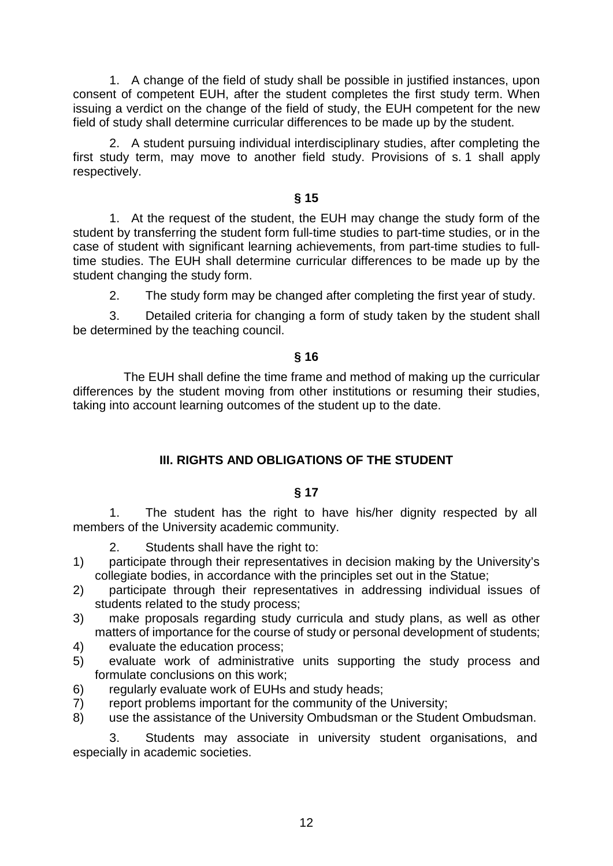1. A change of the field of study shall be possible in justified instances, upon consent of competent EUH, after the student completes the first study term. When issuing a verdict on the change of the field of study, the EUH competent for the new field of study shall determine curricular differences to be made up by the student.

2. A student pursuing individual interdisciplinary studies, after completing the first study term, may move to another field study. Provisions of s. 1 shall apply respectively.

## **§ 15**

1. At the request of the student, the EUH may change the study form of the student by transferring the student form full-time studies to part-time studies, or in the case of student with significant learning achievements, from part-time studies to fulltime studies. The EUH shall determine curricular differences to be made up by the student changing the study form.

2. The study form may be changed after completing the first year of study.

3. Detailed criteria for changing a form of study taken by the student shall be determined by the teaching council.

## **§ 16**

 The EUH shall define the time frame and method of making up the curricular differences by the student moving from other institutions or resuming their studies, taking into account learning outcomes of the student up to the date.

# <span id="page-11-0"></span>**III. RIGHTS AND OBLIGATIONS OF THE STUDENT**

## **§ 17**

1. The student has the right to have his/her dignity respected by all members of the University academic community.

- 2. Students shall have the right to:
- 1) participate through their representatives in decision making by the University's collegiate bodies, in accordance with the principles set out in the Statue;
- 2) participate through their representatives in addressing individual issues of students related to the study process;
- 3) make proposals regarding study curricula and study plans, as well as other matters of importance for the course of study or personal development of students;
- 4) evaluate the education process;
- 5) evaluate work of administrative units supporting the study process and formulate conclusions on this work;
- 6) regularly evaluate work of EUHs and study heads;
- 7) report problems important for the community of the University;
- 8) use the assistance of the University Ombudsman or the Student Ombudsman.

3. Students may associate in university student organisations, and especially in academic societies.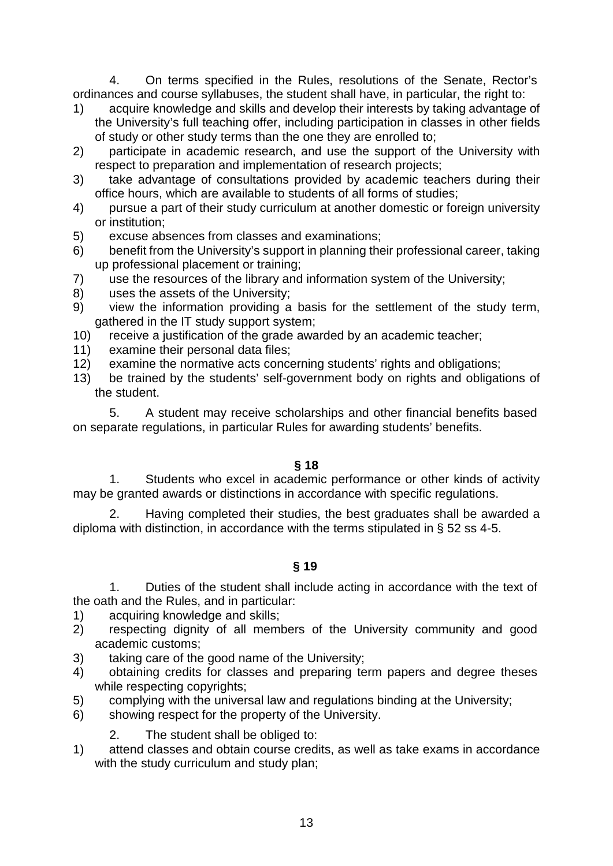4. On terms specified in the Rules, resolutions of the Senate, Rector's ordinances and course syllabuses, the student shall have, in particular, the right to:

- 1) acquire knowledge and skills and develop their interests by taking advantage of the University's full teaching offer, including participation in classes in other fields of study or other study terms than the one they are enrolled to;
- 2) participate in academic research, and use the support of the University with respect to preparation and implementation of research projects;
- 3) take advantage of consultations provided by academic teachers during their office hours, which are available to students of all forms of studies;
- 4) pursue a part of their study curriculum at another domestic or foreign university or institution;
- 5) excuse absences from classes and examinations;
- 6) benefit from the University's support in planning their professional career, taking up professional placement or training;
- 7) use the resources of the library and information system of the University;
- 8) uses the assets of the University;
- 9) view the information providing a basis for the settlement of the study term, gathered in the IT study support system;
- 10) receive a justification of the grade awarded by an academic teacher;
- 11) examine their personal data files;
- 12) examine the normative acts concerning students' rights and obligations;
- 13) be trained by the students' self-government body on rights and obligations of the student.

5. A student may receive scholarships and other financial benefits based on separate regulations, in particular Rules for awarding students' benefits.

# **§ 18**

1. Students who excel in academic performance or other kinds of activity may be granted awards or distinctions in accordance with specific regulations.

2. Having completed their studies, the best graduates shall be awarded a diploma with distinction, in accordance with the terms stipulated in § 52 ss 4-5.

**§ 19**

1. Duties of the student shall include acting in accordance with the text of the oath and the Rules, and in particular:

- 1) acquiring knowledge and skills;
- 2) respecting dignity of all members of the University community and good academic customs;
- 3) taking care of the good name of the University;
- 4) obtaining credits for classes and preparing term papers and degree theses while respecting copyrights:
- 5) complying with the universal law and regulations binding at the University;
- 6) showing respect for the property of the University.
	- 2. The student shall be obliged to:
- 1) attend classes and obtain course credits, as well as take exams in accordance with the study curriculum and study plan;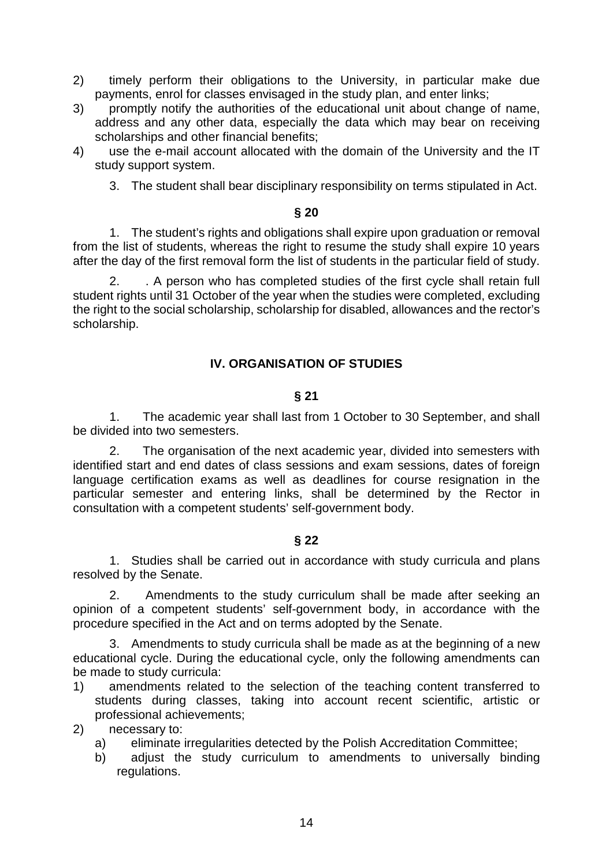- 2) timely perform their obligations to the University, in particular make due payments, enrol for classes envisaged in the study plan, and enter links;
- 3) promptly notify the authorities of the educational unit about change of name, address and any other data, especially the data which may bear on receiving scholarships and other financial benefits;
- 4) use the e-mail account allocated with the domain of the University and the IT study support system.
	- 3. The student shall bear disciplinary responsibility on terms stipulated in Act.

#### **§ 20**

1. The student's rights and obligations shall expire upon graduation or removal from the list of students, whereas the right to resume the study shall expire 10 years after the day of the first removal form the list of students in the particular field of study.

2. . A person who has completed studies of the first cycle shall retain full student rights until 31 October of the year when the studies were completed, excluding the right to the social scholarship, scholarship for disabled, allowances and the rector's scholarship.

## <span id="page-13-0"></span>**IV. ORGANISATION OF STUDIES**

## **§ 21**

1. The academic year shall last from 1 October to 30 September, and shall be divided into two semesters.

2. The organisation of the next academic year, divided into semesters with identified start and end dates of class sessions and exam sessions, dates of foreign language certification exams as well as deadlines for course resignation in the particular semester and entering links, shall be determined by the Rector in consultation with a competent students' self-government body.

## **§ 22**

1. Studies shall be carried out in accordance with study curricula and plans resolved by the Senate.

2. Amendments to the study curriculum shall be made after seeking an opinion of a competent students' self-government body, in accordance with the procedure specified in the Act and on terms adopted by the Senate.

3. Amendments to study curricula shall be made as at the beginning of a new educational cycle. During the educational cycle, only the following amendments can be made to study curricula:

1) amendments related to the selection of the teaching content transferred to students during classes, taking into account recent scientific, artistic or professional achievements;

2) necessary to:

- a) eliminate irregularities detected by the Polish Accreditation Committee;
- b) adjust the study curriculum to amendments to universally binding regulations.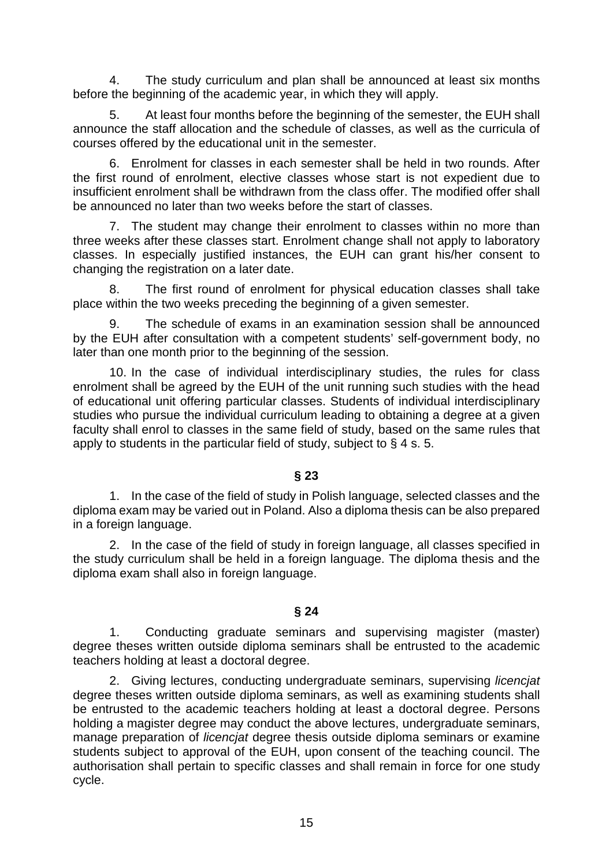4. The study curriculum and plan shall be announced at least six months before the beginning of the academic year, in which they will apply.

5. At least four months before the beginning of the semester, the EUH shall announce the staff allocation and the schedule of classes, as well as the curricula of courses offered by the educational unit in the semester.

6. Enrolment for classes in each semester shall be held in two rounds. After the first round of enrolment, elective classes whose start is not expedient due to insufficient enrolment shall be withdrawn from the class offer. The modified offer shall be announced no later than two weeks before the start of classes.

7. The student may change their enrolment to classes within no more than three weeks after these classes start. Enrolment change shall not apply to laboratory classes. In especially justified instances, the EUH can grant his/her consent to changing the registration on a later date.

8. The first round of enrolment for physical education classes shall take place within the two weeks preceding the beginning of a given semester.

9. The schedule of exams in an examination session shall be announced by the EUH after consultation with a competent students' self-government body, no later than one month prior to the beginning of the session.

10. In the case of individual interdisciplinary studies, the rules for class enrolment shall be agreed by the EUH of the unit running such studies with the head of educational unit offering particular classes. Students of individual interdisciplinary studies who pursue the individual curriculum leading to obtaining a degree at a given faculty shall enrol to classes in the same field of study, based on the same rules that apply to students in the particular field of study, subject to § 4 s. 5.

# **§ 23**

1. In the case of the field of study in Polish language, selected classes and the diploma exam may be varied out in Poland. Also a diploma thesis can be also prepared in a foreign language.

2. In the case of the field of study in foreign language, all classes specified in the study curriculum shall be held in a foreign language. The diploma thesis and the diploma exam shall also in foreign language.

# **§ 24**

1. Conducting graduate seminars and supervising magister (master) degree theses written outside diploma seminars shall be entrusted to the academic teachers holding at least a doctoral degree.

2. Giving lectures, conducting undergraduate seminars, supervising *licencjat* degree theses written outside diploma seminars, as well as examining students shall be entrusted to the academic teachers holding at least a doctoral degree. Persons holding a magister degree may conduct the above lectures, undergraduate seminars, manage preparation of *licencjat* degree thesis outside diploma seminars or examine students subject to approval of the EUH, upon consent of the teaching council. The authorisation shall pertain to specific classes and shall remain in force for one study cycle.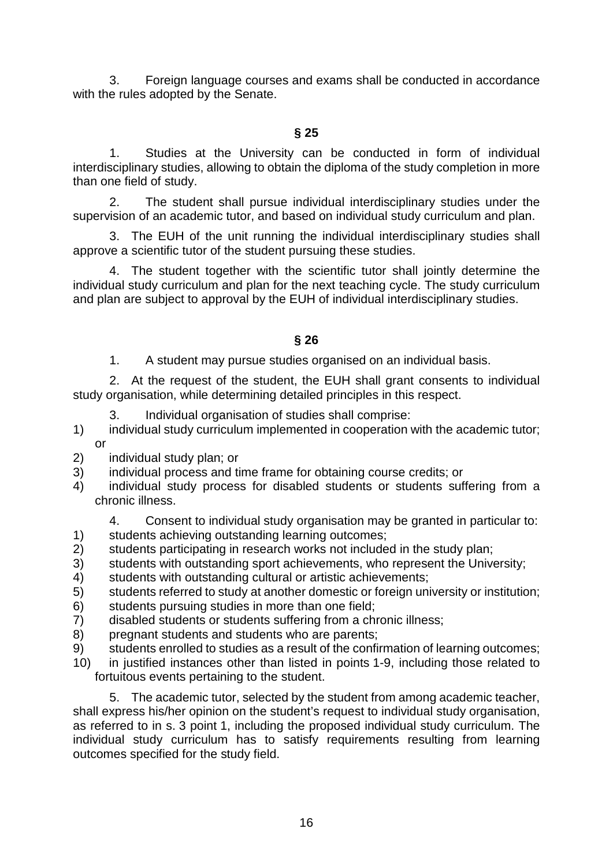3. Foreign language courses and exams shall be conducted in accordance with the rules adopted by the Senate.

1. Studies at the University can be conducted in form of individual interdisciplinary studies, allowing to obtain the diploma of the study completion in more than one field of study.

2. The student shall pursue individual interdisciplinary studies under the supervision of an academic tutor, and based on individual study curriculum and plan.

3. The EUH of the unit running the individual interdisciplinary studies shall approve a scientific tutor of the student pursuing these studies.

4. The student together with the scientific tutor shall jointly determine the individual study curriculum and plan for the next teaching cycle. The study curriculum and plan are subject to approval by the EUH of individual interdisciplinary studies.

**§ 26**

1. A student may pursue studies organised on an individual basis.

2. At the request of the student, the EUH shall grant consents to individual study organisation, while determining detailed principles in this respect.

- 3. Individual organisation of studies shall comprise:
- 1) individual study curriculum implemented in cooperation with the academic tutor; or
- 2) individual study plan; or
- 3) individual process and time frame for obtaining course credits; or
- 4) individual study process for disabled students or students suffering from a chronic illness.

4. Consent to individual study organisation may be granted in particular to:

- 1) students achieving outstanding learning outcomes;
- 2) students participating in research works not included in the study plan;
- 3) students with outstanding sport achievements, who represent the University;
- 4) students with outstanding cultural or artistic achievements;
- 5) students referred to study at another domestic or foreign university or institution;
- 6) students pursuing studies in more than one field;
- 7) disabled students or students suffering from a chronic illness;
- 8) pregnant students and students who are parents;
- 9) students enrolled to studies as a result of the confirmation of learning outcomes;
- 10) in justified instances other than listed in points 1-9, including those related to fortuitous events pertaining to the student.

5. The academic tutor, selected by the student from among academic teacher, shall express his/her opinion on the student's request to individual study organisation, as referred to in s. 3 point 1, including the proposed individual study curriculum. The individual study curriculum has to satisfy requirements resulting from learning outcomes specified for the study field.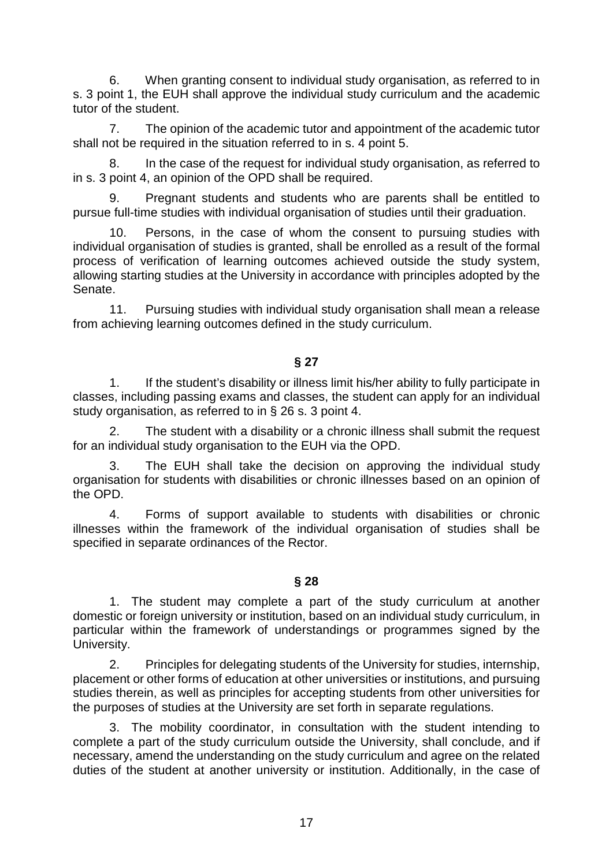6. When granting consent to individual study organisation, as referred to in s. 3 point 1, the EUH shall approve the individual study curriculum and the academic tutor of the student.

7. The opinion of the academic tutor and appointment of the academic tutor shall not be required in the situation referred to in s. 4 point 5.

8. In the case of the request for individual study organisation, as referred to in s. 3 point 4, an opinion of the OPD shall be required.

9. Pregnant students and students who are parents shall be entitled to pursue full-time studies with individual organisation of studies until their graduation.

10. Persons, in the case of whom the consent to pursuing studies with individual organisation of studies is granted, shall be enrolled as a result of the formal process of verification of learning outcomes achieved outside the study system, allowing starting studies at the University in accordance with principles adopted by the Senate.

11. Pursuing studies with individual study organisation shall mean a release from achieving learning outcomes defined in the study curriculum.

**§ 27**

1. If the student's disability or illness limit his/her ability to fully participate in classes, including passing exams and classes, the student can apply for an individual study organisation, as referred to in § 26 s. 3 point 4.

2. The student with a disability or a chronic illness shall submit the request for an individual study organisation to the EUH via the OPD.

3. The EUH shall take the decision on approving the individual study organisation for students with disabilities or chronic illnesses based on an opinion of the OPD.

4. Forms of support available to students with disabilities or chronic illnesses within the framework of the individual organisation of studies shall be specified in separate ordinances of the Rector.

## **§ 28**

1. The student may complete a part of the study curriculum at another domestic or foreign university or institution, based on an individual study curriculum, in particular within the framework of understandings or programmes signed by the University.

2. Principles for delegating students of the University for studies, internship, placement or other forms of education at other universities or institutions, and pursuing studies therein, as well as principles for accepting students from other universities for the purposes of studies at the University are set forth in separate regulations.

3. The mobility coordinator, in consultation with the student intending to complete a part of the study curriculum outside the University, shall conclude, and if necessary, amend the understanding on the study curriculum and agree on the related duties of the student at another university or institution. Additionally, in the case of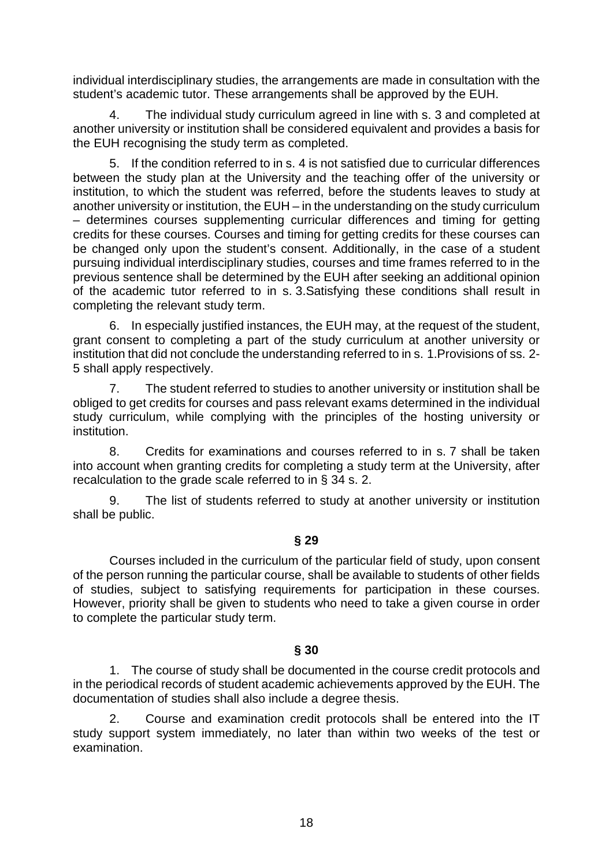individual interdisciplinary studies, the arrangements are made in consultation with the student's academic tutor. These arrangements shall be approved by the EUH.

4. The individual study curriculum agreed in line with s. 3 and completed at another university or institution shall be considered equivalent and provides a basis for the EUH recognising the study term as completed.

5. If the condition referred to in s. 4 is not satisfied due to curricular differences between the study plan at the University and the teaching offer of the university or institution, to which the student was referred, before the students leaves to study at another university or institution, the EUH – in the understanding on the study curriculum – determines courses supplementing curricular differences and timing for getting credits for these courses. Courses and timing for getting credits for these courses can be changed only upon the student's consent. Additionally, in the case of a student pursuing individual interdisciplinary studies, courses and time frames referred to in the previous sentence shall be determined by the EUH after seeking an additional opinion of the academic tutor referred to in s. 3.Satisfying these conditions shall result in completing the relevant study term.

6. In especially justified instances, the EUH may, at the request of the student, grant consent to completing a part of the study curriculum at another university or institution that did not conclude the understanding referred to in s. 1.Provisions of ss. 2- 5 shall apply respectively.

7. The student referred to studies to another university or institution shall be obliged to get credits for courses and pass relevant exams determined in the individual study curriculum, while complying with the principles of the hosting university or institution.

8. Credits for examinations and courses referred to in s. 7 shall be taken into account when granting credits for completing a study term at the University, after recalculation to the grade scale referred to in § 34 s. 2.

9. The list of students referred to study at another university or institution shall be public.

# **§ 29**

Courses included in the curriculum of the particular field of study, upon consent of the person running the particular course, shall be available to students of other fields of studies, subject to satisfying requirements for participation in these courses. However, priority shall be given to students who need to take a given course in order to complete the particular study term.

# **§ 30**

1. The course of study shall be documented in the course credit protocols and in the periodical records of student academic achievements approved by the EUH. The documentation of studies shall also include a degree thesis.

2. Course and examination credit protocols shall be entered into the IT study support system immediately, no later than within two weeks of the test or examination.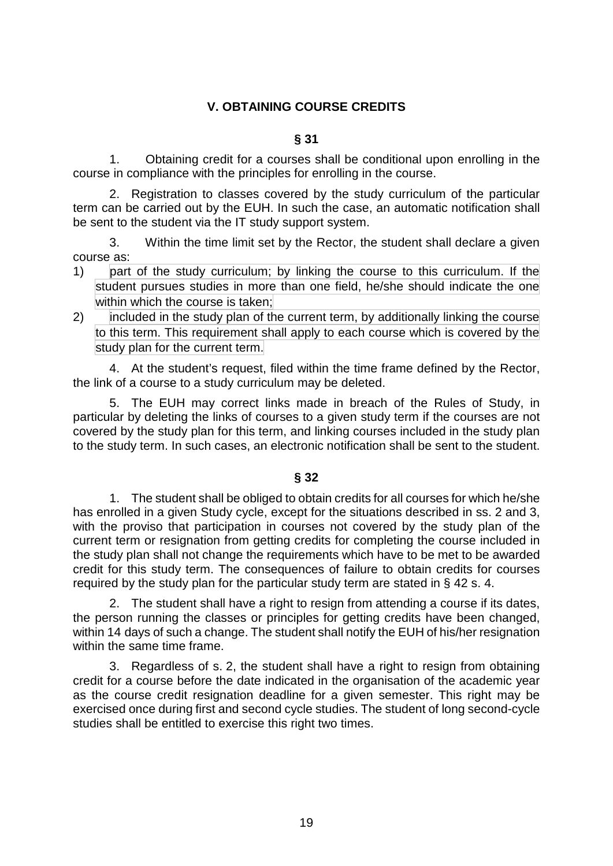# <span id="page-18-0"></span>**V. OBTAINING COURSE CREDITS**

#### **§ 31**

1. Obtaining credit for a courses shall be conditional upon enrolling in the course in compliance with the principles for enrolling in the course.

2. Registration to classes covered by the study curriculum of the particular term can be carried out by the EUH. In such the case, an automatic notification shall be sent to the student via the IT study support system.

3. Within the time limit set by the Rector, the student shall declare a given course as:

- 1) part of the study curriculum; by linking the course to this curriculum. If the student pursues studies in more than one field, he/she should indicate the one within which the course is taken:
- 2) included in the study plan of the current term, by additionally linking the course to this term. This requirement shall apply to each course which is covered by the study plan for the current term.

4. At the student's request, filed within the time frame defined by the Rector, the link of a course to a study curriculum may be deleted.

5. The EUH may correct links made in breach of the Rules of Study, in particular by deleting the links of courses to a given study term if the courses are not covered by the study plan for this term, and linking courses included in the study plan to the study term. In such cases, an electronic notification shall be sent to the student.

# **§ 32**

1. The student shall be obliged to obtain credits for all courses for which he/she has enrolled in a given Study cycle, except for the situations described in ss. 2 and 3, with the proviso that participation in courses not covered by the study plan of the current term or resignation from getting credits for completing the course included in the study plan shall not change the requirements which have to be met to be awarded credit for this study term. The consequences of failure to obtain credits for courses required by the study plan for the particular study term are stated in § 42 s. 4.

2. The student shall have a right to resign from attending a course if its dates, the person running the classes or principles for getting credits have been changed, within 14 days of such a change. The student shall notify the EUH of his/her resignation within the same time frame.

3. Regardless of s. 2, the student shall have a right to resign from obtaining credit for a course before the date indicated in the organisation of the academic year as the course credit resignation deadline for a given semester. This right may be exercised once during first and second cycle studies. The student of long second-cycle studies shall be entitled to exercise this right two times.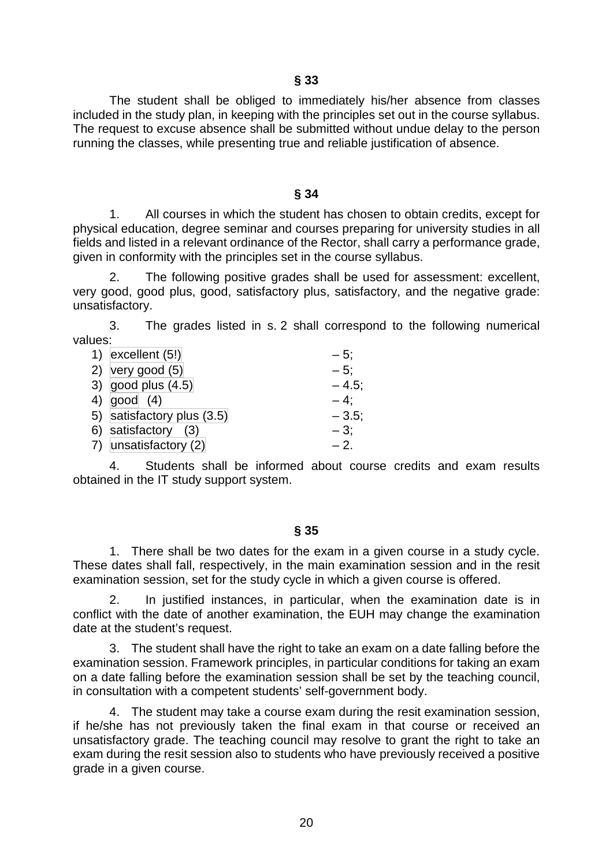The student shall be obliged to immediately his/her absence from classes included in the study plan, in keeping with the principles set out in the course syllabus. The request to excuse absence shall be submitted without undue delay to the person running the classes, while presenting true and reliable justification of absence.

#### **§ 34**

1. All courses in which the student has chosen to obtain credits, except for physical education, degree seminar and courses preparing for university studies in all fields and listed in a relevant ordinance of the Rector, shall carry a performance grade, given in conformity with the principles set in the course syllabus.

2. The following positive grades shall be used for assessment: excellent, very good, good plus, good, satisfactory plus, satisfactory, and the negative grade: unsatisfactory.

3. The grades listed in s. 2 shall correspond to the following numerical values:

| 1) excellent $(5!)$        | $-5:$    |
|----------------------------|----------|
| 2) very good $(5)$         | $-5$ :   |
| 3) good plus $(4.5)$       | $-4.5$ ; |
| 4) $ good (4) $            | $-4$ :   |
| 5) satisfactory plus (3.5) | $-3.5$   |
| 6) satisfactory (3)        | $-3$ :   |
| 7) unsatisfactory (2)      | $-2$ .   |

4. Students shall be informed about course credits and exam results obtained in the IT study support system.

## **§ 35**

1. There shall be two dates for the exam in a given course in a study cycle. These dates shall fall, respectively, in the main examination session and in the resit examination session, set for the study cycle in which a given course is offered.

2. In justified instances, in particular, when the examination date is in conflict with the date of another examination, the EUH may change the examination date at the student's request.

3. The student shall have the right to take an exam on a date falling before the examination session. Framework principles, in particular conditions for taking an exam on a date falling before the examination session shall be set by the teaching council, in consultation with a competent students' self-government body.

4. The student may take a course exam during the resit examination session, if he/she has not previously taken the final exam in that course or received an unsatisfactory grade. The teaching council may resolve to grant the right to take an exam during the resit session also to students who have previously received a positive grade in a given course.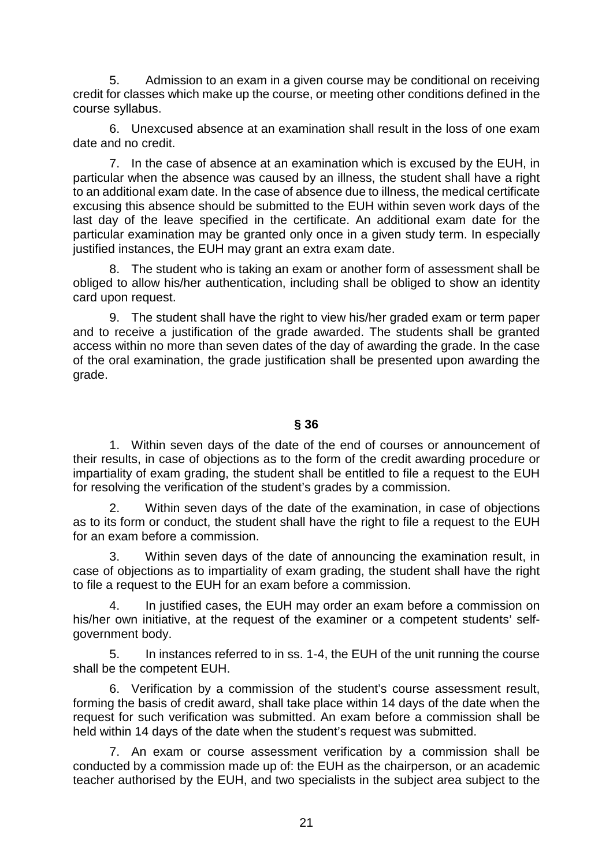5. Admission to an exam in a given course may be conditional on receiving credit for classes which make up the course, or meeting other conditions defined in the course syllabus.

6. Unexcused absence at an examination shall result in the loss of one exam date and no credit.

7. In the case of absence at an examination which is excused by the EUH, in particular when the absence was caused by an illness, the student shall have a right to an additional exam date. In the case of absence due to illness, the medical certificate excusing this absence should be submitted to the EUH within seven work days of the last day of the leave specified in the certificate. An additional exam date for the particular examination may be granted only once in a given study term. In especially justified instances, the EUH may grant an extra exam date.

8. The student who is taking an exam or another form of assessment shall be obliged to allow his/her authentication, including shall be obliged to show an identity card upon request.

9. The student shall have the right to view his/her graded exam or term paper and to receive a justification of the grade awarded. The students shall be granted access within no more than seven dates of the day of awarding the grade. In the case of the oral examination, the grade justification shall be presented upon awarding the grade.

## **§ 36**

1. Within seven days of the date of the end of courses or announcement of their results, in case of objections as to the form of the credit awarding procedure or impartiality of exam grading, the student shall be entitled to file a request to the EUH for resolving the verification of the student's grades by a commission.

2. Within seven days of the date of the examination, in case of objections as to its form or conduct, the student shall have the right to file a request to the EUH for an exam before a commission.

3. Within seven days of the date of announcing the examination result, in case of objections as to impartiality of exam grading, the student shall have the right to file a request to the EUH for an exam before a commission.

4. In justified cases, the EUH may order an exam before a commission on his/her own initiative, at the request of the examiner or a competent students' selfgovernment body.

5. In instances referred to in ss. 1-4, the EUH of the unit running the course shall be the competent EUH.

6. Verification by a commission of the student's course assessment result, forming the basis of credit award, shall take place within 14 days of the date when the request for such verification was submitted. An exam before a commission shall be held within 14 days of the date when the student's request was submitted.

7. An exam or course assessment verification by a commission shall be conducted by a commission made up of: the EUH as the chairperson, or an academic teacher authorised by the EUH, and two specialists in the subject area subject to the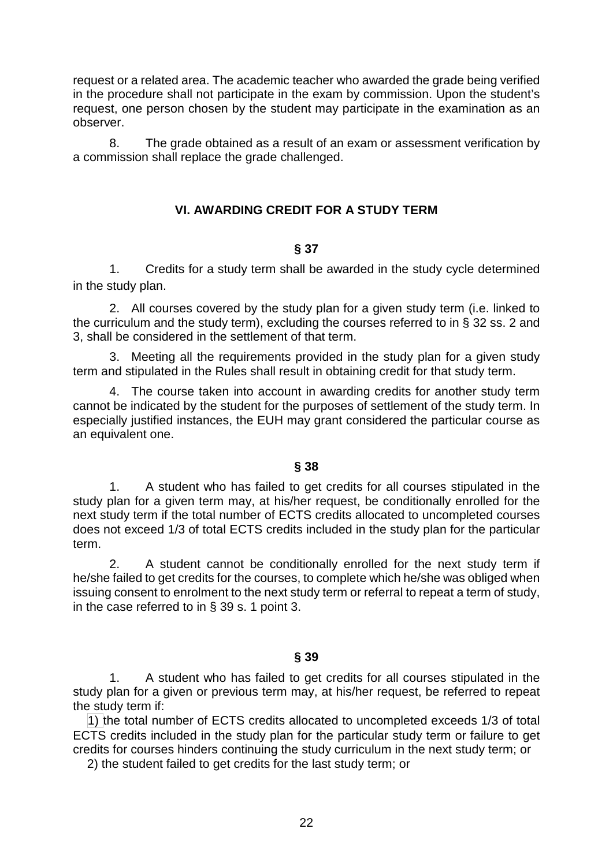request or a related area. The academic teacher who awarded the grade being verified in the procedure shall not participate in the exam by commission. Upon the student's request, one person chosen by the student may participate in the examination as an observer.

8. The grade obtained as a result of an exam or assessment verification by a commission shall replace the grade challenged.

## <span id="page-21-0"></span>**VI. AWARDING CREDIT FOR A STUDY TERM**

## **§ 37**

1. Credits for a study term shall be awarded in the study cycle determined in the study plan.

2. All courses covered by the study plan for a given study term (i.e. linked to the curriculum and the study term), excluding the courses referred to in § 32 ss. 2 and 3, shall be considered in the settlement of that term.

3. Meeting all the requirements provided in the study plan for a given study term and stipulated in the Rules shall result in obtaining credit for that study term.

4. The course taken into account in awarding credits for another study term cannot be indicated by the student for the purposes of settlement of the study term. In especially justified instances, the EUH may grant considered the particular course as an equivalent one.

## **§ 38**

1. A student who has failed to get credits for all courses stipulated in the study plan for a given term may, at his/her request, be conditionally enrolled for the next study term if the total number of ECTS credits allocated to uncompleted courses does not exceed 1/3 of total ECTS credits included in the study plan for the particular term.

2. A student cannot be conditionally enrolled for the next study term if he/she failed to get credits for the courses, to complete which he/she was obliged when issuing consent to enrolment to the next study term or referral to repeat a term of study, in the case referred to in § 39 s. 1 point 3.

## **§ 39**

1. A student who has failed to get credits for all courses stipulated in the study plan for a given or previous term may, at his/her request, be referred to repeat the study term if:

 1) the total number of ECTS credits allocated to uncompleted exceeds 1/3 of total ECTS credits included in the study plan for the particular study term or failure to get credits for courses hinders continuing the study curriculum in the next study term; or

2) the student failed to get credits for the last study term; or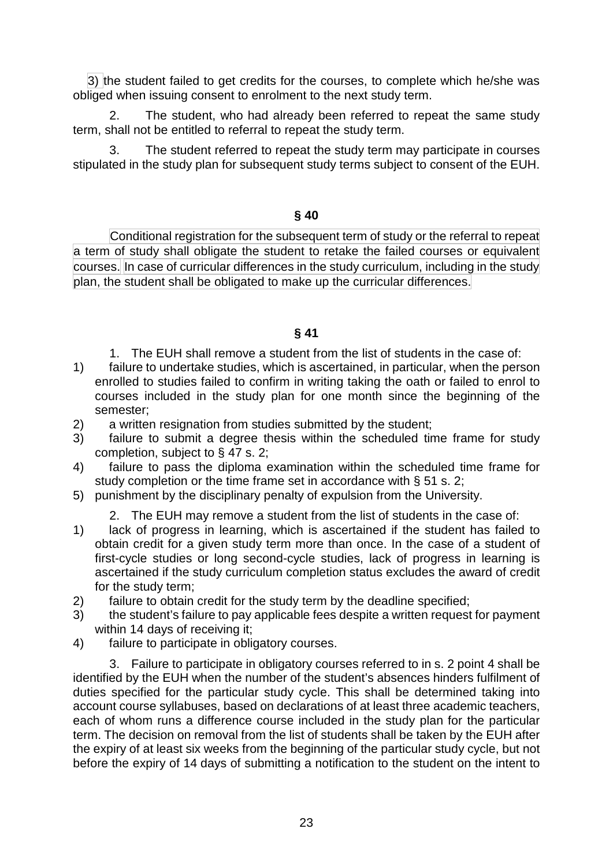3) the student failed to get credits for the courses, to complete which he/she was obliged when issuing consent to enrolment to the next study term.

2. The student, who had already been referred to repeat the same study term, shall not be entitled to referral to repeat the study term.

3. The student referred to repeat the study term may participate in courses stipulated in the study plan for subsequent study terms subject to consent of the EUH.

## **§ 40**

Conditional registration for the subsequent term of study or the referral to repeat a term of study shall obligate the student to retake the failed courses or equivalent courses. In case of curricular differences in the study curriculum, including in the study plan, the student shall be obligated to make up the curricular differences.

# **§ 41**

- 1. The EUH shall remove a student from the list of students in the case of:
- 1) failure to undertake studies, which is ascertained, in particular, when the person enrolled to studies failed to confirm in writing taking the oath or failed to enrol to courses included in the study plan for one month since the beginning of the semester;
- 2) a written resignation from studies submitted by the student;
- 3) failure to submit a degree thesis within the scheduled time frame for study completion, subject to § 47 s. 2;
- 4) failure to pass the diploma examination within the scheduled time frame for study completion or the time frame set in accordance with § 51 s. 2:
- 5) punishment by the disciplinary penalty of expulsion from the University.
	- 2. The EUH may remove a student from the list of students in the case of:
- 1) lack of progress in learning, which is ascertained if the student has failed to obtain credit for a given study term more than once. In the case of a student of first-cycle studies or long second-cycle studies, lack of progress in learning is ascertained if the study curriculum completion status excludes the award of credit for the study term;
- 2) failure to obtain credit for the study term by the deadline specified;
- 3) the student's failure to pay applicable fees despite a written request for payment within 14 days of receiving it;
- 4) failure to participate in obligatory courses.

3. Failure to participate in obligatory courses referred to in s. 2 point 4 shall be identified by the EUH when the number of the student's absences hinders fulfilment of duties specified for the particular study cycle. This shall be determined taking into account course syllabuses, based on declarations of at least three academic teachers, each of whom runs a difference course included in the study plan for the particular term. The decision on removal from the list of students shall be taken by the EUH after the expiry of at least six weeks from the beginning of the particular study cycle, but not before the expiry of 14 days of submitting a notification to the student on the intent to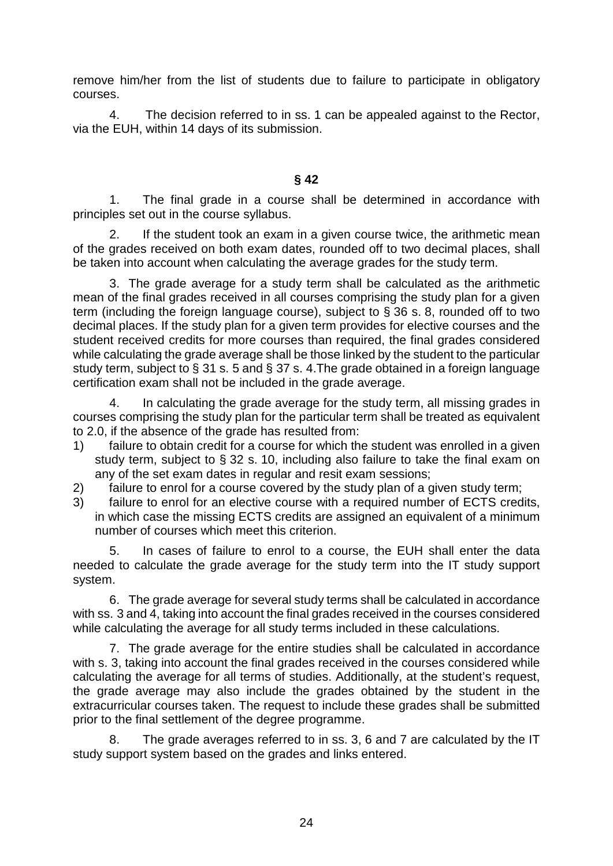remove him/her from the list of students due to failure to participate in obligatory courses.

4. The decision referred to in ss. 1 can be appealed against to the Rector, via the EUH, within 14 days of its submission.

**§ 42**

1. The final grade in a course shall be determined in accordance with principles set out in the course syllabus.

2. If the student took an exam in a given course twice, the arithmetic mean of the grades received on both exam dates, rounded off to two decimal places, shall be taken into account when calculating the average grades for the study term.

3. The grade average for a study term shall be calculated as the arithmetic mean of the final grades received in all courses comprising the study plan for a given term (including the foreign language course), subject to  $\S 36$  s. 8, rounded off to two decimal places. If the study plan for a given term provides for elective courses and the student received credits for more courses than required, the final grades considered while calculating the grade average shall be those linked by the student to the particular study term, subject to § 31 s. 5 and § 37 s. 4.The grade obtained in a foreign language certification exam shall not be included in the grade average.

4. In calculating the grade average for the study term, all missing grades in courses comprising the study plan for the particular term shall be treated as equivalent to 2.0, if the absence of the grade has resulted from:

- 1) failure to obtain credit for a course for which the student was enrolled in a given study term, subject to § 32 s. 10, including also failure to take the final exam on any of the set exam dates in regular and resit exam sessions;
- 2) failure to enrol for a course covered by the study plan of a given study term;
- 3) failure to enrol for an elective course with a required number of ECTS credits, in which case the missing ECTS credits are assigned an equivalent of a minimum number of courses which meet this criterion.

5. In cases of failure to enrol to a course, the EUH shall enter the data needed to calculate the grade average for the study term into the IT study support system.

6. The grade average for several study terms shall be calculated in accordance with ss. 3 and 4, taking into account the final grades received in the courses considered while calculating the average for all study terms included in these calculations.

7. The grade average for the entire studies shall be calculated in accordance with s. 3, taking into account the final grades received in the courses considered while calculating the average for all terms of studies. Additionally, at the student's request, the grade average may also include the grades obtained by the student in the extracurricular courses taken. The request to include these grades shall be submitted prior to the final settlement of the degree programme.

8. The grade averages referred to in ss. 3, 6 and 7 are calculated by the IT study support system based on the grades and links entered.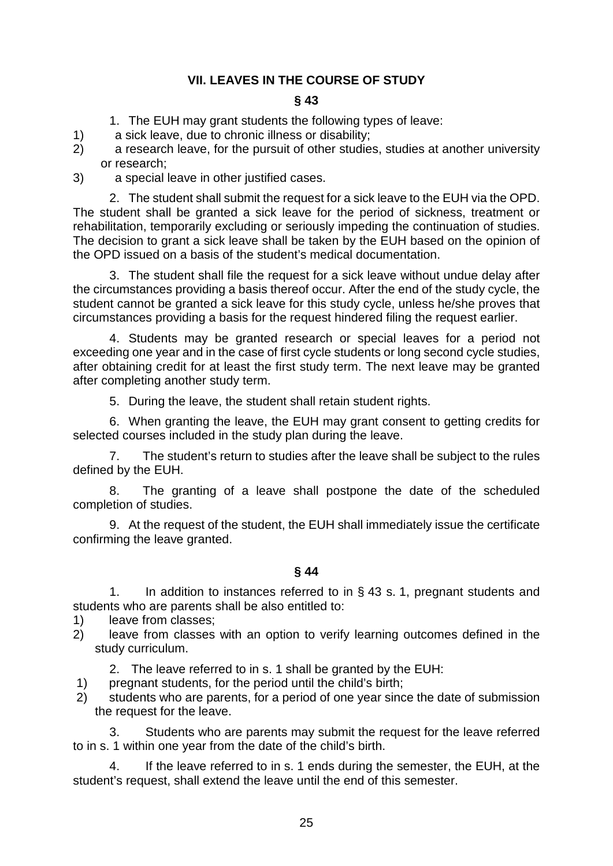# <span id="page-24-0"></span>**VII. LEAVES IN THE COURSE OF STUDY**

## **§ 43**

- 1. The EUH may grant students the following types of leave:
- 1) a sick leave, due to chronic illness or disability;
- 2) a research leave, for the pursuit of other studies, studies at another university or research;
- 3) a special leave in other justified cases.

2. The student shall submit the request for a sick leave to the EUH via the OPD. The student shall be granted a sick leave for the period of sickness, treatment or rehabilitation, temporarily excluding or seriously impeding the continuation of studies. The decision to grant a sick leave shall be taken by the EUH based on the opinion of the OPD issued on a basis of the student's medical documentation.

3. The student shall file the request for a sick leave without undue delay after the circumstances providing a basis thereof occur. After the end of the study cycle, the student cannot be granted a sick leave for this study cycle, unless he/she proves that circumstances providing a basis for the request hindered filing the request earlier.

4. Students may be granted research or special leaves for a period not exceeding one year and in the case of first cycle students or long second cycle studies, after obtaining credit for at least the first study term. The next leave may be granted after completing another study term.

5. During the leave, the student shall retain student rights.

6. When granting the leave, the EUH may grant consent to getting credits for selected courses included in the study plan during the leave.

7. The student's return to studies after the leave shall be subject to the rules defined by the EUH.

8. The granting of a leave shall postpone the date of the scheduled completion of studies.

9. At the request of the student, the EUH shall immediately issue the certificate confirming the leave granted.

**§ 44**

1. In addition to instances referred to in § 43 s. 1, pregnant students and students who are parents shall be also entitled to:

- 1) leave from classes;
- 2) leave from classes with an option to verify learning outcomes defined in the study curriculum.

2. The leave referred to in s. 1 shall be granted by the EUH:

- 1) pregnant students, for the period until the child's birth;
- 2) students who are parents, for a period of one year since the date of submission the request for the leave.

3. Students who are parents may submit the request for the leave referred to in s. 1 within one year from the date of the child's birth.

4. If the leave referred to in s. 1 ends during the semester, the EUH, at the student's request, shall extend the leave until the end of this semester.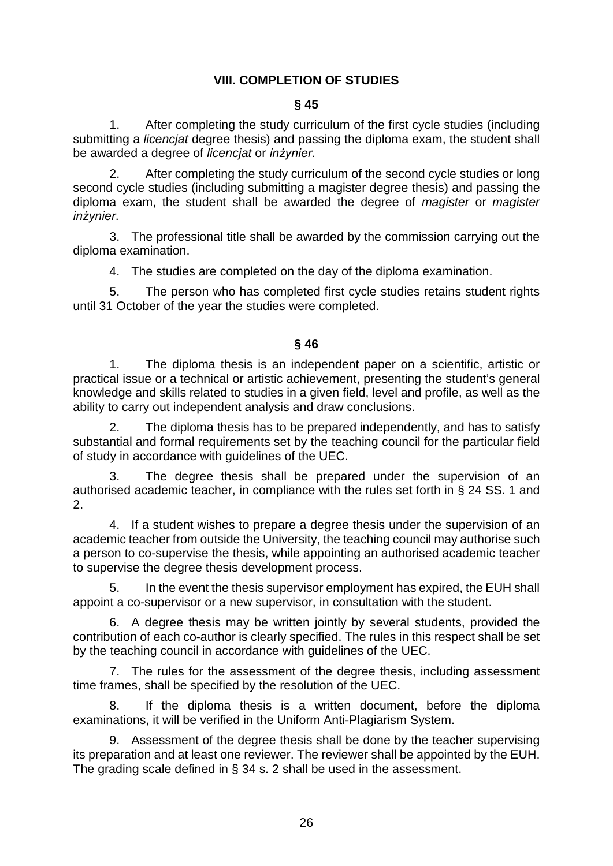# <span id="page-25-0"></span>**VIII. COMPLETION OF STUDIES**

#### **§ 45**

1. After completing the study curriculum of the first cycle studies (including submitting a *licencjat* degree thesis) and passing the diploma exam, the student shall be awarded a degree of *licencjat* or *inżynier*.

2. After completing the study curriculum of the second cycle studies or long second cycle studies (including submitting a magister degree thesis) and passing the diploma exam, the student shall be awarded the degree of *magister* or *magister inżynier*.

3. The professional title shall be awarded by the commission carrying out the diploma examination.

4. The studies are completed on the day of the diploma examination.

5. The person who has completed first cycle studies retains student rights until 31 October of the year the studies were completed.

#### **§ 46**

1. The diploma thesis is an independent paper on a scientific, artistic or practical issue or a technical or artistic achievement, presenting the student's general knowledge and skills related to studies in a given field, level and profile, as well as the ability to carry out independent analysis and draw conclusions.

2. The diploma thesis has to be prepared independently, and has to satisfy substantial and formal requirements set by the teaching council for the particular field of study in accordance with guidelines of the UEC.

3. The degree thesis shall be prepared under the supervision of an authorised academic teacher, in compliance with the rules set forth in § 24 SS. 1 and 2.

4. If a student wishes to prepare a degree thesis under the supervision of an academic teacher from outside the University, the teaching council may authorise such a person to co-supervise the thesis, while appointing an authorised academic teacher to supervise the degree thesis development process.

5. In the event the thesis supervisor employment has expired, the EUH shall appoint a co-supervisor or a new supervisor, in consultation with the student.

6. A degree thesis may be written jointly by several students, provided the contribution of each co-author is clearly specified. The rules in this respect shall be set by the teaching council in accordance with guidelines of the UEC.

7. The rules for the assessment of the degree thesis, including assessment time frames, shall be specified by the resolution of the UEC.

8. If the diploma thesis is a written document, before the diploma examinations, it will be verified in the Uniform Anti-Plagiarism System.

9. Assessment of the degree thesis shall be done by the teacher supervising its preparation and at least one reviewer. The reviewer shall be appointed by the EUH. The grading scale defined in § 34 s. 2 shall be used in the assessment.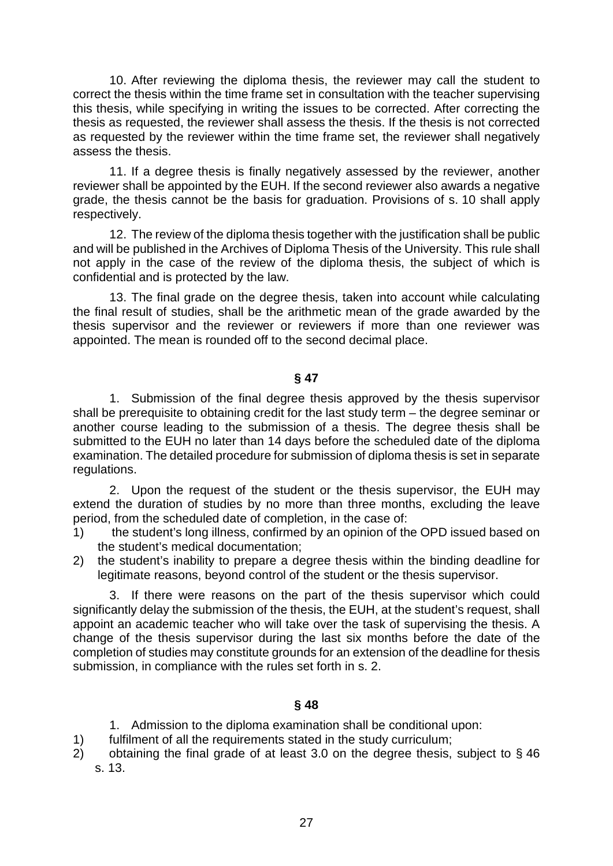10. After reviewing the diploma thesis, the reviewer may call the student to correct the thesis within the time frame set in consultation with the teacher supervising this thesis, while specifying in writing the issues to be corrected. After correcting the thesis as requested, the reviewer shall assess the thesis. If the thesis is not corrected as requested by the reviewer within the time frame set, the reviewer shall negatively assess the thesis.

11. If a degree thesis is finally negatively assessed by the reviewer, another reviewer shall be appointed by the EUH. If the second reviewer also awards a negative grade, the thesis cannot be the basis for graduation. Provisions of s. 10 shall apply respectively.

12. The review of the diploma thesis together with the justification shall be public and will be published in the Archives of Diploma Thesis of the University. This rule shall not apply in the case of the review of the diploma thesis, the subject of which is confidential and is protected by the law.

13. The final grade on the degree thesis, taken into account while calculating the final result of studies, shall be the arithmetic mean of the grade awarded by the thesis supervisor and the reviewer or reviewers if more than one reviewer was appointed. The mean is rounded off to the second decimal place.

## **§ 47**

1. Submission of the final degree thesis approved by the thesis supervisor shall be prerequisite to obtaining credit for the last study term – the degree seminar or another course leading to the submission of a thesis. The degree thesis shall be submitted to the EUH no later than 14 days before the scheduled date of the diploma examination. The detailed procedure for submission of diploma thesis is set in separate regulations.

2. Upon the request of the student or the thesis supervisor, the EUH may extend the duration of studies by no more than three months, excluding the leave period, from the scheduled date of completion, in the case of:

- 1) the student's long illness, confirmed by an opinion of the OPD issued based on the student's medical documentation;
- 2) the student's inability to prepare a degree thesis within the binding deadline for legitimate reasons, beyond control of the student or the thesis supervisor.

3. If there were reasons on the part of the thesis supervisor which could significantly delay the submission of the thesis, the EUH, at the student's request, shall appoint an academic teacher who will take over the task of supervising the thesis. A change of the thesis supervisor during the last six months before the date of the completion of studies may constitute grounds for an extension of the deadline for thesis submission, in compliance with the rules set forth in s. 2.

# **§ 48**

- 1. Admission to the diploma examination shall be conditional upon:
- 1) fulfilment of all the requirements stated in the study curriculum;
- 2) obtaining the final grade of at least 3.0 on the degree thesis, subject to § 46 s. 13.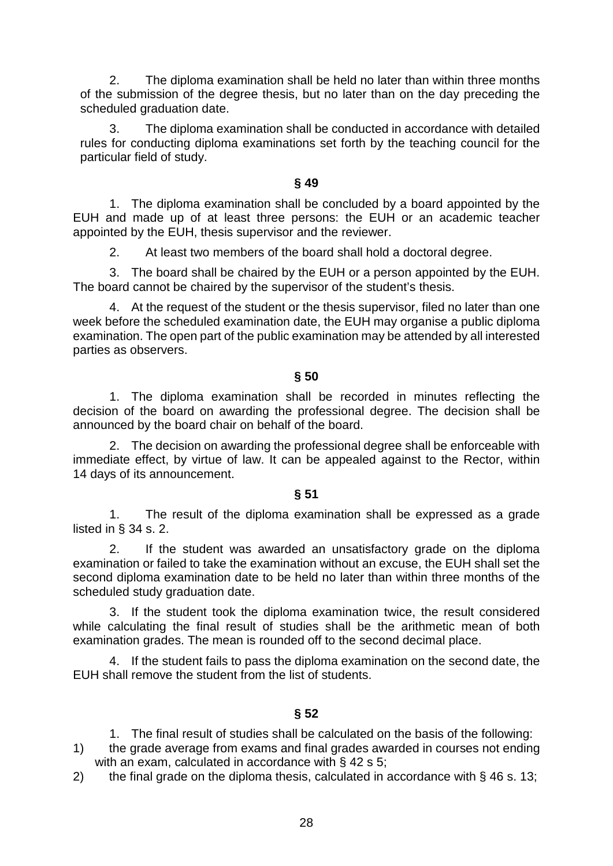2. The diploma examination shall be held no later than within three months of the submission of the degree thesis, but no later than on the day preceding the scheduled graduation date.

3. The diploma examination shall be conducted in accordance with detailed rules for conducting diploma examinations set forth by the teaching council for the particular field of study.

## **§ 49**

1. The diploma examination shall be concluded by a board appointed by the EUH and made up of at least three persons: the EUH or an academic teacher appointed by the EUH, thesis supervisor and the reviewer.

2. At least two members of the board shall hold a doctoral degree.

3. The board shall be chaired by the EUH or a person appointed by the EUH. The board cannot be chaired by the supervisor of the student's thesis.

4. At the request of the student or the thesis supervisor, filed no later than one week before the scheduled examination date, the EUH may organise a public diploma examination. The open part of the public examination may be attended by all interested parties as observers.

## **§ 50**

1. The diploma examination shall be recorded in minutes reflecting the decision of the board on awarding the professional degree. The decision shall be announced by the board chair on behalf of the board.

2. The decision on awarding the professional degree shall be enforceable with immediate effect, by virtue of law. It can be appealed against to the Rector, within 14 days of its announcement.

## **§ 51**

1. The result of the diploma examination shall be expressed as a grade listed in § 34 s. 2.

2. If the student was awarded an unsatisfactory grade on the diploma examination or failed to take the examination without an excuse, the EUH shall set the second diploma examination date to be held no later than within three months of the scheduled study graduation date.

3. If the student took the diploma examination twice, the result considered while calculating the final result of studies shall be the arithmetic mean of both examination grades. The mean is rounded off to the second decimal place.

4. If the student fails to pass the diploma examination on the second date, the EUH shall remove the student from the list of students.

## **§ 52**

1. The final result of studies shall be calculated on the basis of the following:

- 1) the grade average from exams and final grades awarded in courses not ending with an exam, calculated in accordance with § 42 s 5;
- 2) the final grade on the diploma thesis, calculated in accordance with § 46 s. 13;